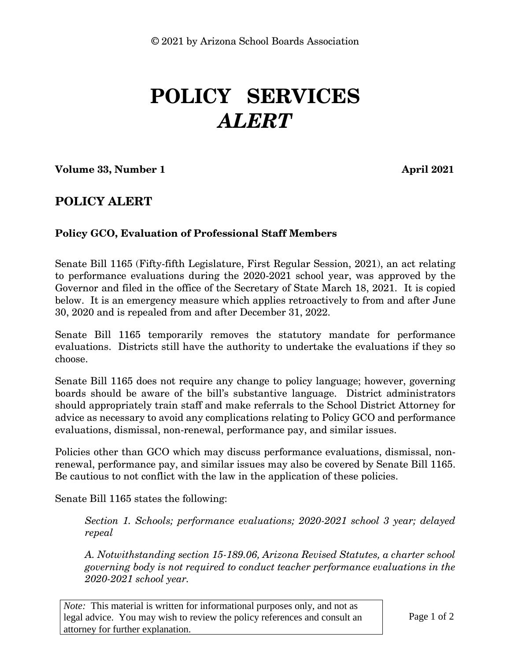## **POLICY SERVICES** *ALERT*

**Volume 33, Number 1 April 2021** 

## **POLICY ALERT**

## **Policy GCO, Evaluation of Professional Staff Members**

Senate Bill 1165 (Fifty-fifth Legislature, First Regular Session, 2021), an act relating to performance evaluations during the 2020-2021 school year, was approved by the Governor and filed in the office of the Secretary of State March 18, 2021. It is copied below. It is an emergency measure which applies retroactively to from and after June 30, 2020 and is repealed from and after December 31, 2022.

Senate Bill 1165 temporarily removes the statutory mandate for performance evaluations. Districts still have the authority to undertake the evaluations if they so choose.

Senate Bill 1165 does not require any change to policy language; however, governing boards should be aware of the bill's substantive language. District administrators should appropriately train staff and make referrals to the School District Attorney for advice as necessary to avoid any complications relating to Policy GCO and performance evaluations, dismissal, non-renewal, performance pay, and similar issues.

Policies other than GCO which may discuss performance evaluations, dismissal, nonrenewal, performance pay, and similar issues may also be covered by Senate Bill 1165. Be cautious to not conflict with the law in the application of these policies.

Senate Bill 1165 states the following:

*Section 1. Schools; performance evaluations; 2020-2021 school 3 year; delayed repeal*

*A. Notwithstanding section 15-189.06, Arizona Revised Statutes, a charter school governing body is not required to conduct teacher performance evaluations in the 2020-2021 school year.* 

*Note:* This material is written for informational purposes only, and not as legal advice. You may wish to review the policy references and consult an attorney for further explanation.